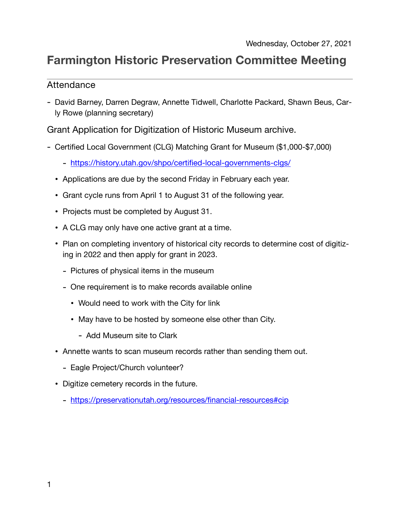## **Farmington Historic Preservation Committee Meeting**

## Attendance

- David Barney, Darren Degraw, Annette Tidwell, Charlotte Packard, Shawn Beus, Carly Rowe (planning secretary)

Grant Application for Digitization of Historic Museum archive.

- Certified Local Government (CLG) Matching Grant for Museum (\$1,000-\$7,000)
	- <https://history.utah.gov/shpo/certified-local-governments-clgs/>
	- Applications are due by the second Friday in February each year.
	- Grant cycle runs from April 1 to August 31 of the following year.
	- Projects must be completed by August 31.
	- A CLG may only have one active grant at a time.
	- Plan on completing inventory of historical city records to determine cost of digitizing in 2022 and then apply for grant in 2023.
		- Pictures of physical items in the museum
		- One requirement is to make records available online
			- Would need to work with the City for link
			- May have to be hosted by someone else other than City.
				- Add Museum site to Clark
	- Annette wants to scan museum records rather than sending them out.
		- Eagle Project/Church volunteer?
	- Digitize cemetery records in the future.
		- <https://preservationutah.org/resources/financial-resources#cip>